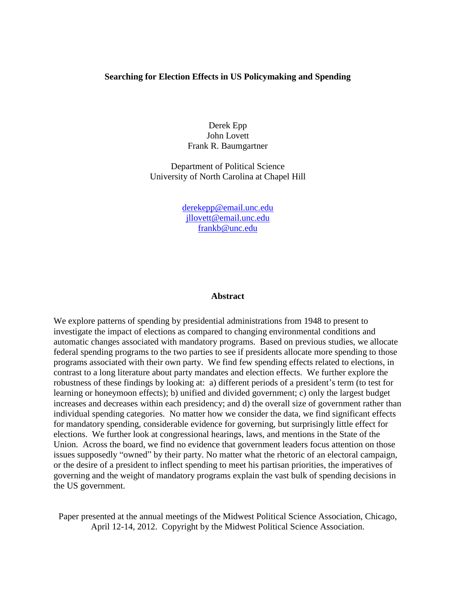# **Searching for Election Effects in US Policymaking and Spending**

Derek Epp John Lovett Frank R. Baumgartner

Department of Political Science University of North Carolina at Chapel Hill

> [derekepp@email.unc.edu](mailto:derekepp@email.unc.edu) [jllovett@email.unc.edu](mailto:jllovett@email.unc.edu) [frankb@unc.edu](mailto:frankb@unc.edu)

### **Abstract**

We explore patterns of spending by presidential administrations from 1948 to present to investigate the impact of elections as compared to changing environmental conditions and automatic changes associated with mandatory programs. Based on previous studies, we allocate federal spending programs to the two parties to see if presidents allocate more spending to those programs associated with their own party. We find few spending effects related to elections, in contrast to a long literature about party mandates and election effects. We further explore the robustness of these findings by looking at: a) different periods of a president's term (to test for learning or honeymoon effects); b) unified and divided government; c) only the largest budget increases and decreases within each presidency; and d) the overall size of government rather than individual spending categories. No matter how we consider the data, we find significant effects for mandatory spending, considerable evidence for governing, but surprisingly little effect for elections. We further look at congressional hearings, laws, and mentions in the State of the Union. Across the board, we find no evidence that government leaders focus attention on those issues supposedly "owned" by their party. No matter what the rhetoric of an electoral campaign, or the desire of a president to inflect spending to meet his partisan priorities, the imperatives of governing and the weight of mandatory programs explain the vast bulk of spending decisions in the US government.

Paper presented at the annual meetings of the Midwest Political Science Association, Chicago, April 12-14, 2012. Copyright by the Midwest Political Science Association.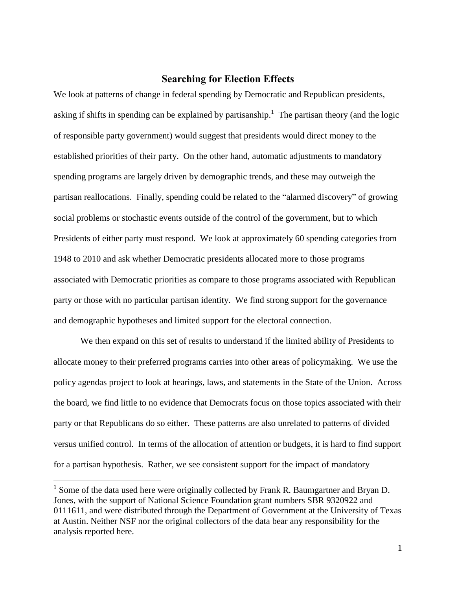# **Searching for Election Effects**

We look at patterns of change in federal spending by Democratic and Republican presidents, asking if shifts in spending can be explained by partisanship.<sup>1</sup> The partisan theory (and the logic of responsible party government) would suggest that presidents would direct money to the established priorities of their party. On the other hand, automatic adjustments to mandatory spending programs are largely driven by demographic trends, and these may outweigh the partisan reallocations. Finally, spending could be related to the "alarmed discovery" of growing social problems or stochastic events outside of the control of the government, but to which Presidents of either party must respond. We look at approximately 60 spending categories from 1948 to 2010 and ask whether Democratic presidents allocated more to those programs associated with Democratic priorities as compare to those programs associated with Republican party or those with no particular partisan identity. We find strong support for the governance and demographic hypotheses and limited support for the electoral connection.

We then expand on this set of results to understand if the limited ability of Presidents to allocate money to their preferred programs carries into other areas of policymaking. We use the policy agendas project to look at hearings, laws, and statements in the State of the Union. Across the board, we find little to no evidence that Democrats focus on those topics associated with their party or that Republicans do so either. These patterns are also unrelated to patterns of divided versus unified control. In terms of the allocation of attention or budgets, it is hard to find support for a partisan hypothesis. Rather, we see consistent support for the impact of mandatory

 $\overline{a}$ 

<sup>&</sup>lt;sup>1</sup> Some of the data used here were originally collected by Frank R. Baumgartner and Bryan D. Jones, with the support of National Science Foundation grant numbers SBR 9320922 and 0111611, and were distributed through the Department of Government at the University of Texas at Austin. Neither NSF nor the original collectors of the data bear any responsibility for the analysis reported here.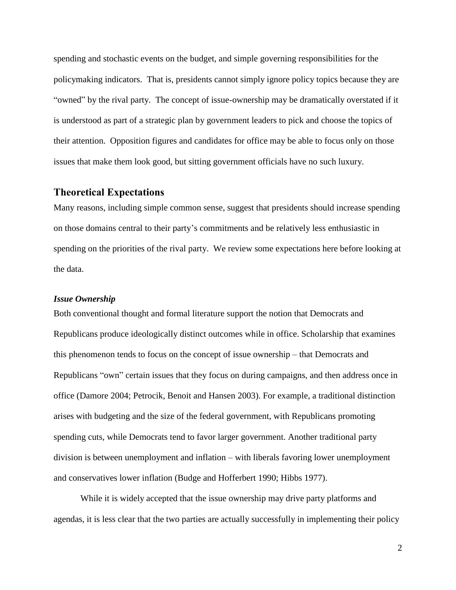spending and stochastic events on the budget, and simple governing responsibilities for the policymaking indicators. That is, presidents cannot simply ignore policy topics because they are "owned" by the rival party. The concept of issue-ownership may be dramatically overstated if it is understood as part of a strategic plan by government leaders to pick and choose the topics of their attention. Opposition figures and candidates for office may be able to focus only on those issues that make them look good, but sitting government officials have no such luxury.

# **Theoretical Expectations**

Many reasons, including simple common sense, suggest that presidents should increase spending on those domains central to their party's commitments and be relatively less enthusiastic in spending on the priorities of the rival party. We review some expectations here before looking at the data.

### *Issue Ownership*

Both conventional thought and formal literature support the notion that Democrats and Republicans produce ideologically distinct outcomes while in office. Scholarship that examines this phenomenon tends to focus on the concept of issue ownership – that Democrats and Republicans "own" certain issues that they focus on during campaigns, and then address once in office (Damore 2004; Petrocik, Benoit and Hansen 2003). For example, a traditional distinction arises with budgeting and the size of the federal government, with Republicans promoting spending cuts, while Democrats tend to favor larger government. Another traditional party division is between unemployment and inflation – with liberals favoring lower unemployment and conservatives lower inflation (Budge and Hofferbert 1990; Hibbs 1977).

While it is widely accepted that the issue ownership may drive party platforms and agendas, it is less clear that the two parties are actually successfully in implementing their policy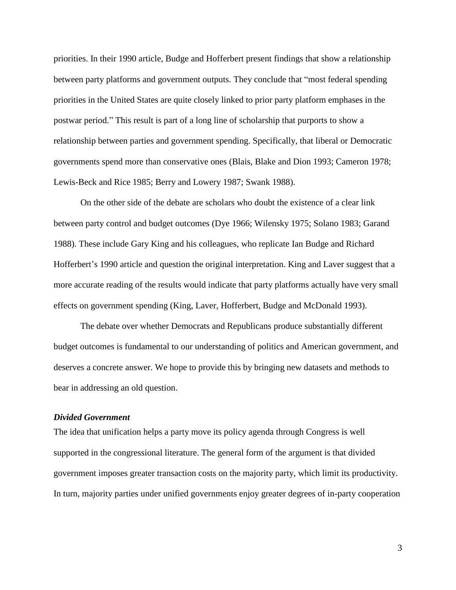priorities. In their 1990 article, Budge and Hofferbert present findings that show a relationship between party platforms and government outputs. They conclude that "most federal spending priorities in the United States are quite closely linked to prior party platform emphases in the postwar period." This result is part of a long line of scholarship that purports to show a relationship between parties and government spending. Specifically, that liberal or Democratic governments spend more than conservative ones (Blais, Blake and Dion 1993; Cameron 1978; Lewis-Beck and Rice 1985; Berry and Lowery 1987; Swank 1988).

On the other side of the debate are scholars who doubt the existence of a clear link between party control and budget outcomes (Dye 1966; Wilensky 1975; Solano 1983; Garand 1988). These include Gary King and his colleagues, who replicate Ian Budge and Richard Hofferbert's 1990 article and question the original interpretation. King and Laver suggest that a more accurate reading of the results would indicate that party platforms actually have very small effects on government spending (King, Laver, Hofferbert, Budge and McDonald 1993).

The debate over whether Democrats and Republicans produce substantially different budget outcomes is fundamental to our understanding of politics and American government, and deserves a concrete answer. We hope to provide this by bringing new datasets and methods to bear in addressing an old question.

### *Divided Government*

The idea that unification helps a party move its policy agenda through Congress is well supported in the congressional literature. The general form of the argument is that divided government imposes greater transaction costs on the majority party, which limit its productivity. In turn, majority parties under unified governments enjoy greater degrees of in-party cooperation

3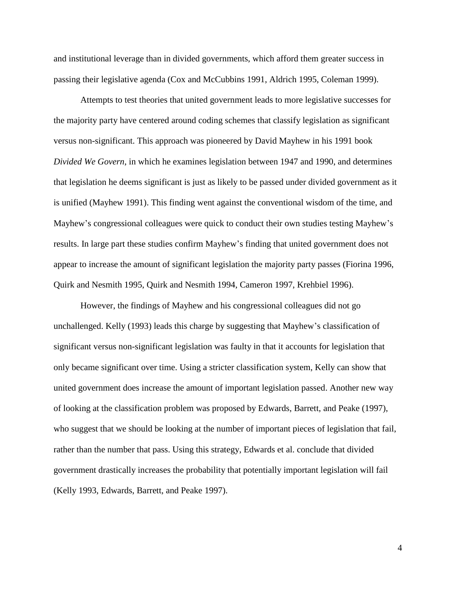and institutional leverage than in divided governments, which afford them greater success in passing their legislative agenda (Cox and McCubbins 1991, Aldrich 1995, Coleman 1999).

Attempts to test theories that united government leads to more legislative successes for the majority party have centered around coding schemes that classify legislation as significant versus non-significant. This approach was pioneered by David Mayhew in his 1991 book *Divided We Govern*, in which he examines legislation between 1947 and 1990, and determines that legislation he deems significant is just as likely to be passed under divided government as it is unified (Mayhew 1991). This finding went against the conventional wisdom of the time, and Mayhew's congressional colleagues were quick to conduct their own studies testing Mayhew's results. In large part these studies confirm Mayhew's finding that united government does not appear to increase the amount of significant legislation the majority party passes (Fiorina 1996, Quirk and Nesmith 1995, Quirk and Nesmith 1994, Cameron 1997, Krehbiel 1996).

However, the findings of Mayhew and his congressional colleagues did not go unchallenged. Kelly (1993) leads this charge by suggesting that Mayhew's classification of significant versus non-significant legislation was faulty in that it accounts for legislation that only became significant over time. Using a stricter classification system, Kelly can show that united government does increase the amount of important legislation passed. Another new way of looking at the classification problem was proposed by Edwards, Barrett, and Peake (1997), who suggest that we should be looking at the number of important pieces of legislation that fail, rather than the number that pass. Using this strategy, Edwards et al. conclude that divided government drastically increases the probability that potentially important legislation will fail (Kelly 1993, Edwards, Barrett, and Peake 1997).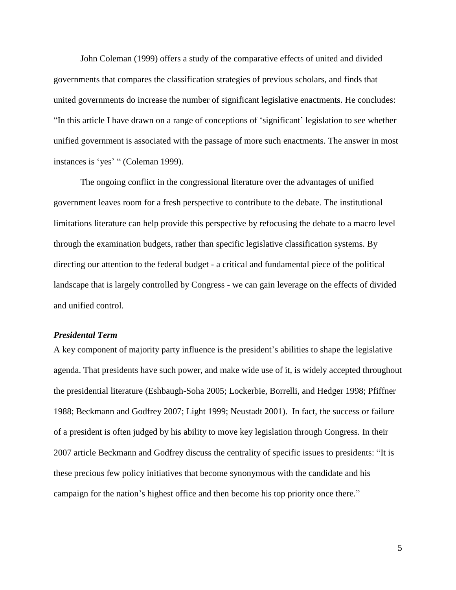John Coleman (1999) offers a study of the comparative effects of united and divided governments that compares the classification strategies of previous scholars, and finds that united governments do increase the number of significant legislative enactments. He concludes: "In this article I have drawn on a range of conceptions of 'significant' legislation to see whether unified government is associated with the passage of more such enactments. The answer in most instances is 'yes' " (Coleman 1999).

The ongoing conflict in the congressional literature over the advantages of unified government leaves room for a fresh perspective to contribute to the debate. The institutional limitations literature can help provide this perspective by refocusing the debate to a macro level through the examination budgets, rather than specific legislative classification systems. By directing our attention to the federal budget - a critical and fundamental piece of the political landscape that is largely controlled by Congress - we can gain leverage on the effects of divided and unified control.

# *Presidental Term*

A key component of majority party influence is the president's abilities to shape the legislative agenda. That presidents have such power, and make wide use of it, is widely accepted throughout the presidential literature (Eshbaugh-Soha 2005; Lockerbie, Borrelli, and Hedger 1998; Pfiffner 1988; Beckmann and Godfrey 2007; Light 1999; Neustadt 2001). In fact, the success or failure of a president is often judged by his ability to move key legislation through Congress. In their 2007 article Beckmann and Godfrey discuss the centrality of specific issues to presidents: "It is these precious few policy initiatives that become synonymous with the candidate and his campaign for the nation's highest office and then become his top priority once there."

5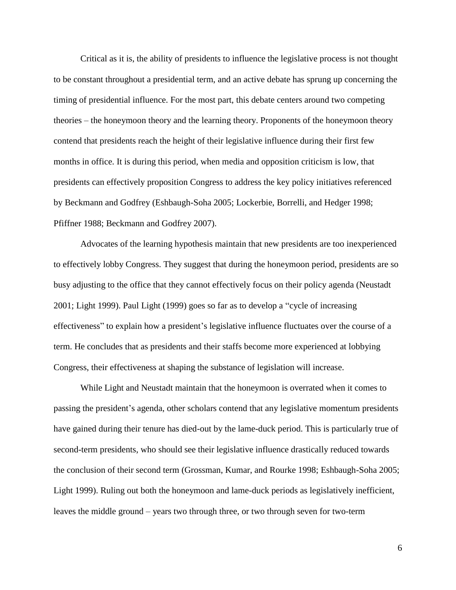Critical as it is, the ability of presidents to influence the legislative process is not thought to be constant throughout a presidential term, and an active debate has sprung up concerning the timing of presidential influence. For the most part, this debate centers around two competing theories – the honeymoon theory and the learning theory. Proponents of the honeymoon theory contend that presidents reach the height of their legislative influence during their first few months in office. It is during this period, when media and opposition criticism is low, that presidents can effectively proposition Congress to address the key policy initiatives referenced by Beckmann and Godfrey (Eshbaugh-Soha 2005; Lockerbie, Borrelli, and Hedger 1998; Pfiffner 1988; Beckmann and Godfrey 2007).

Advocates of the learning hypothesis maintain that new presidents are too inexperienced to effectively lobby Congress. They suggest that during the honeymoon period, presidents are so busy adjusting to the office that they cannot effectively focus on their policy agenda (Neustadt 2001; Light 1999). Paul Light (1999) goes so far as to develop a "cycle of increasing effectiveness" to explain how a president's legislative influence fluctuates over the course of a term. He concludes that as presidents and their staffs become more experienced at lobbying Congress, their effectiveness at shaping the substance of legislation will increase.

While Light and Neustadt maintain that the honeymoon is overrated when it comes to passing the president's agenda, other scholars contend that any legislative momentum presidents have gained during their tenure has died-out by the lame-duck period. This is particularly true of second-term presidents, who should see their legislative influence drastically reduced towards the conclusion of their second term (Grossman, Kumar, and Rourke 1998; Eshbaugh-Soha 2005; Light 1999). Ruling out both the honeymoon and lame-duck periods as legislatively inefficient, leaves the middle ground – years two through three, or two through seven for two-term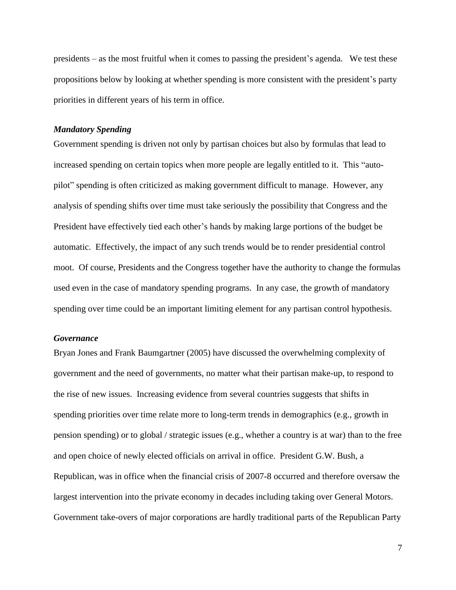presidents – as the most fruitful when it comes to passing the president's agenda. We test these propositions below by looking at whether spending is more consistent with the president's party priorities in different years of his term in office.

#### *Mandatory Spending*

Government spending is driven not only by partisan choices but also by formulas that lead to increased spending on certain topics when more people are legally entitled to it. This "autopilot" spending is often criticized as making government difficult to manage. However, any analysis of spending shifts over time must take seriously the possibility that Congress and the President have effectively tied each other's hands by making large portions of the budget be automatic. Effectively, the impact of any such trends would be to render presidential control moot. Of course, Presidents and the Congress together have the authority to change the formulas used even in the case of mandatory spending programs. In any case, the growth of mandatory spending over time could be an important limiting element for any partisan control hypothesis.

#### *Governance*

Bryan Jones and Frank Baumgartner (2005) have discussed the overwhelming complexity of government and the need of governments, no matter what their partisan make-up, to respond to the rise of new issues. Increasing evidence from several countries suggests that shifts in spending priorities over time relate more to long-term trends in demographics (e.g., growth in pension spending) or to global / strategic issues (e.g., whether a country is at war) than to the free and open choice of newly elected officials on arrival in office. President G.W. Bush, a Republican, was in office when the financial crisis of 2007-8 occurred and therefore oversaw the largest intervention into the private economy in decades including taking over General Motors. Government take-overs of major corporations are hardly traditional parts of the Republican Party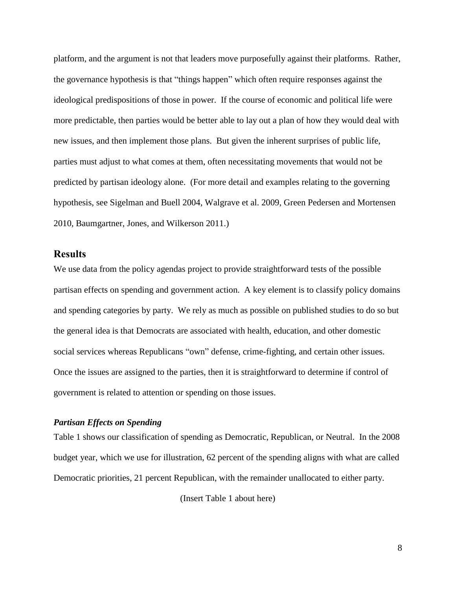platform, and the argument is not that leaders move purposefully against their platforms. Rather, the governance hypothesis is that "things happen" which often require responses against the ideological predispositions of those in power. If the course of economic and political life were more predictable, then parties would be better able to lay out a plan of how they would deal with new issues, and then implement those plans. But given the inherent surprises of public life, parties must adjust to what comes at them, often necessitating movements that would not be predicted by partisan ideology alone. (For more detail and examples relating to the governing hypothesis, see Sigelman and Buell 2004, Walgrave et al. 2009, Green Pedersen and Mortensen 2010, Baumgartner, Jones, and Wilkerson 2011.)

# **Results**

We use data from the policy agendas project to provide straightforward tests of the possible partisan effects on spending and government action. A key element is to classify policy domains and spending categories by party. We rely as much as possible on published studies to do so but the general idea is that Democrats are associated with health, education, and other domestic social services whereas Republicans "own" defense, crime-fighting, and certain other issues. Once the issues are assigned to the parties, then it is straightforward to determine if control of government is related to attention or spending on those issues.

# *Partisan Effects on Spending*

Table 1 shows our classification of spending as Democratic, Republican, or Neutral. In the 2008 budget year, which we use for illustration, 62 percent of the spending aligns with what are called Democratic priorities, 21 percent Republican, with the remainder unallocated to either party.

(Insert Table 1 about here)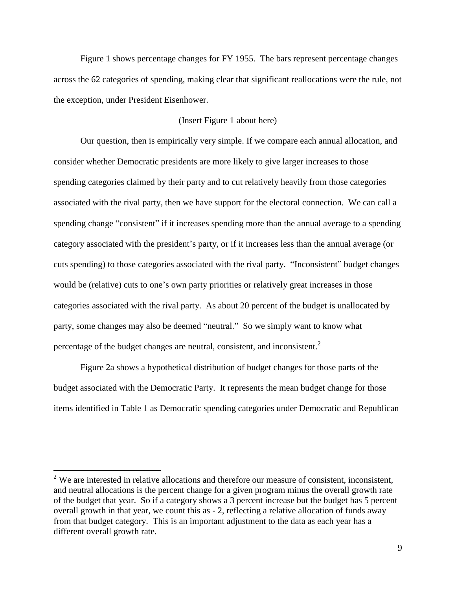Figure 1 shows percentage changes for FY 1955. The bars represent percentage changes across the 62 categories of spending, making clear that significant reallocations were the rule, not the exception, under President Eisenhower.

# (Insert Figure 1 about here)

Our question, then is empirically very simple. If we compare each annual allocation, and consider whether Democratic presidents are more likely to give larger increases to those spending categories claimed by their party and to cut relatively heavily from those categories associated with the rival party, then we have support for the electoral connection. We can call a spending change "consistent" if it increases spending more than the annual average to a spending category associated with the president's party, or if it increases less than the annual average (or cuts spending) to those categories associated with the rival party. "Inconsistent" budget changes would be (relative) cuts to one's own party priorities or relatively great increases in those categories associated with the rival party. As about 20 percent of the budget is unallocated by party, some changes may also be deemed "neutral." So we simply want to know what percentage of the budget changes are neutral, consistent, and inconsistent.<sup>2</sup>

Figure 2a shows a hypothetical distribution of budget changes for those parts of the budget associated with the Democratic Party. It represents the mean budget change for those items identified in Table 1 as Democratic spending categories under Democratic and Republican

 $\overline{a}$ 

 $2$  We are interested in relative allocations and therefore our measure of consistent, inconsistent, and neutral allocations is the percent change for a given program minus the overall growth rate of the budget that year. So if a category shows a 3 percent increase but the budget has 5 percent overall growth in that year, we count this as - 2, reflecting a relative allocation of funds away from that budget category. This is an important adjustment to the data as each year has a different overall growth rate.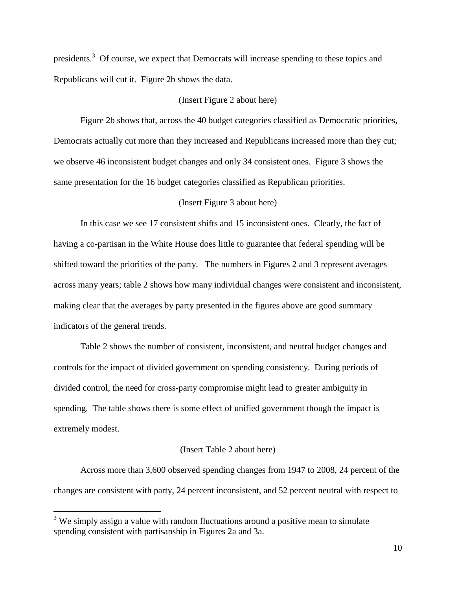presidents.<sup>3</sup> Of course, we expect that Democrats will increase spending to these topics and Republicans will cut it. Figure 2b shows the data.

# (Insert Figure 2 about here)

Figure 2b shows that, across the 40 budget categories classified as Democratic priorities, Democrats actually cut more than they increased and Republicans increased more than they cut; we observe 46 inconsistent budget changes and only 34 consistent ones. Figure 3 shows the same presentation for the 16 budget categories classified as Republican priorities.

# (Insert Figure 3 about here)

In this case we see 17 consistent shifts and 15 inconsistent ones. Clearly, the fact of having a co-partisan in the White House does little to guarantee that federal spending will be shifted toward the priorities of the party. The numbers in Figures 2 and 3 represent averages across many years; table 2 shows how many individual changes were consistent and inconsistent, making clear that the averages by party presented in the figures above are good summary indicators of the general trends.

Table 2 shows the number of consistent, inconsistent, and neutral budget changes and controls for the impact of divided government on spending consistency. During periods of divided control, the need for cross-party compromise might lead to greater ambiguity in spending. The table shows there is some effect of unified government though the impact is extremely modest.

#### (Insert Table 2 about here)

Across more than 3,600 observed spending changes from 1947 to 2008, 24 percent of the changes are consistent with party, 24 percent inconsistent, and 52 percent neutral with respect to

 $\overline{a}$ 

<sup>&</sup>lt;sup>3</sup> We simply assign a value with random fluctuations around a positive mean to simulate spending consistent with partisanship in Figures 2a and 3a.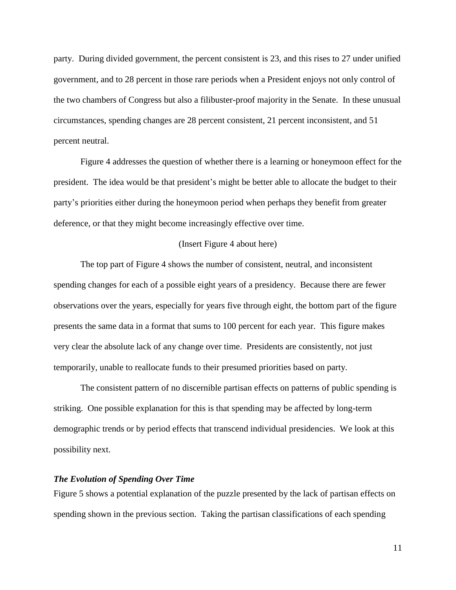party. During divided government, the percent consistent is 23, and this rises to 27 under unified government, and to 28 percent in those rare periods when a President enjoys not only control of the two chambers of Congress but also a filibuster-proof majority in the Senate. In these unusual circumstances, spending changes are 28 percent consistent, 21 percent inconsistent, and 51 percent neutral.

Figure 4 addresses the question of whether there is a learning or honeymoon effect for the president. The idea would be that president's might be better able to allocate the budget to their party's priorities either during the honeymoon period when perhaps they benefit from greater deference, or that they might become increasingly effective over time.

### (Insert Figure 4 about here)

The top part of Figure 4 shows the number of consistent, neutral, and inconsistent spending changes for each of a possible eight years of a presidency. Because there are fewer observations over the years, especially for years five through eight, the bottom part of the figure presents the same data in a format that sums to 100 percent for each year. This figure makes very clear the absolute lack of any change over time. Presidents are consistently, not just temporarily, unable to reallocate funds to their presumed priorities based on party.

The consistent pattern of no discernible partisan effects on patterns of public spending is striking. One possible explanation for this is that spending may be affected by long-term demographic trends or by period effects that transcend individual presidencies. We look at this possibility next.

# *The Evolution of Spending Over Time*

Figure 5 shows a potential explanation of the puzzle presented by the lack of partisan effects on spending shown in the previous section. Taking the partisan classifications of each spending

11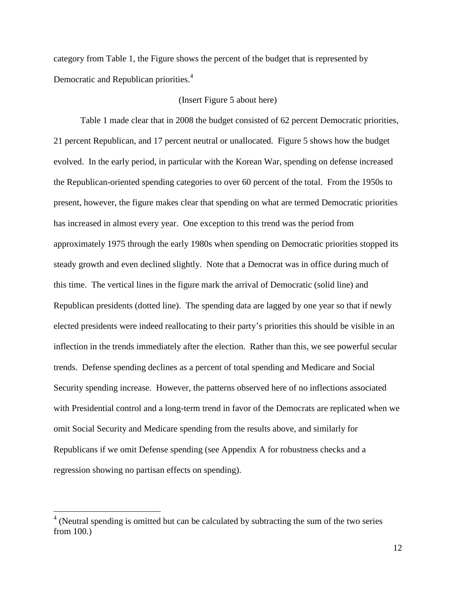category from Table 1, the Figure shows the percent of the budget that is represented by Democratic and Republican priorities.<sup>4</sup>

# (Insert Figure 5 about here)

Table 1 made clear that in 2008 the budget consisted of 62 percent Democratic priorities, 21 percent Republican, and 17 percent neutral or unallocated. Figure 5 shows how the budget evolved. In the early period, in particular with the Korean War, spending on defense increased the Republican-oriented spending categories to over 60 percent of the total. From the 1950s to present, however, the figure makes clear that spending on what are termed Democratic priorities has increased in almost every year. One exception to this trend was the period from approximately 1975 through the early 1980s when spending on Democratic priorities stopped its steady growth and even declined slightly. Note that a Democrat was in office during much of this time. The vertical lines in the figure mark the arrival of Democratic (solid line) and Republican presidents (dotted line). The spending data are lagged by one year so that if newly elected presidents were indeed reallocating to their party's priorities this should be visible in an inflection in the trends immediately after the election. Rather than this, we see powerful secular trends. Defense spending declines as a percent of total spending and Medicare and Social Security spending increase. However, the patterns observed here of no inflections associated with Presidential control and a long-term trend in favor of the Democrats are replicated when we omit Social Security and Medicare spending from the results above, and similarly for Republicans if we omit Defense spending (see Appendix A for robustness checks and a regression showing no partisan effects on spending).

 $\overline{a}$ 

 $4$  (Neutral spending is omitted but can be calculated by subtracting the sum of the two series from 100.)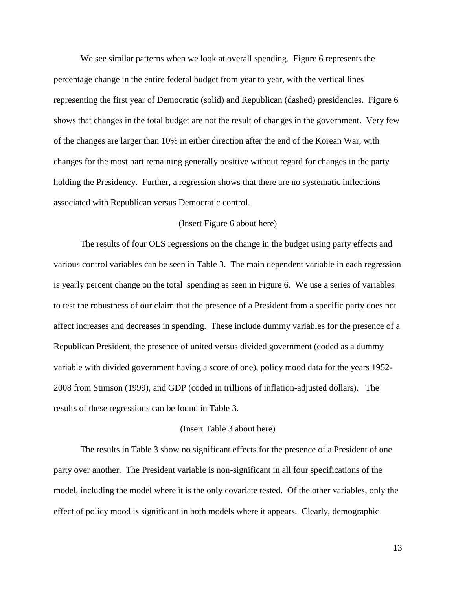We see similar patterns when we look at overall spending. Figure 6 represents the percentage change in the entire federal budget from year to year, with the vertical lines representing the first year of Democratic (solid) and Republican (dashed) presidencies. Figure 6 shows that changes in the total budget are not the result of changes in the government. Very few of the changes are larger than 10% in either direction after the end of the Korean War, with changes for the most part remaining generally positive without regard for changes in the party holding the Presidency. Further, a regression shows that there are no systematic inflections associated with Republican versus Democratic control.

### (Insert Figure 6 about here)

The results of four OLS regressions on the change in the budget using party effects and various control variables can be seen in Table 3. The main dependent variable in each regression is yearly percent change on the total spending as seen in Figure 6. We use a series of variables to test the robustness of our claim that the presence of a President from a specific party does not affect increases and decreases in spending. These include dummy variables for the presence of a Republican President, the presence of united versus divided government (coded as a dummy variable with divided government having a score of one), policy mood data for the years 1952- 2008 from Stimson (1999), and GDP (coded in trillions of inflation-adjusted dollars). The results of these regressions can be found in Table 3.

#### (Insert Table 3 about here)

The results in Table 3 show no significant effects for the presence of a President of one party over another. The President variable is non-significant in all four specifications of the model, including the model where it is the only covariate tested. Of the other variables, only the effect of policy mood is significant in both models where it appears. Clearly, demographic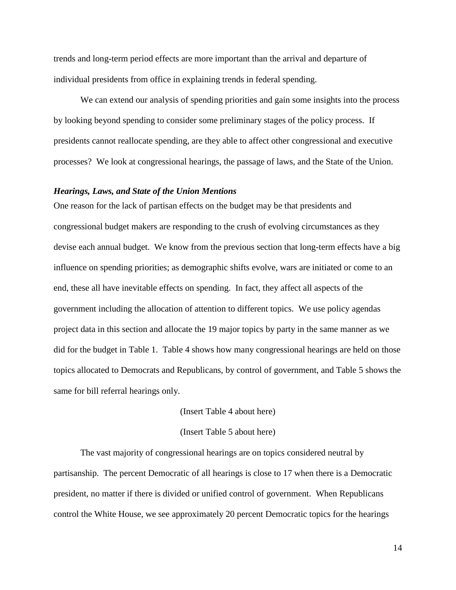trends and long-term period effects are more important than the arrival and departure of individual presidents from office in explaining trends in federal spending.

We can extend our analysis of spending priorities and gain some insights into the process by looking beyond spending to consider some preliminary stages of the policy process. If presidents cannot reallocate spending, are they able to affect other congressional and executive processes? We look at congressional hearings, the passage of laws, and the State of the Union.

#### *Hearings, Laws, and State of the Union Mentions*

One reason for the lack of partisan effects on the budget may be that presidents and congressional budget makers are responding to the crush of evolving circumstances as they devise each annual budget. We know from the previous section that long-term effects have a big influence on spending priorities; as demographic shifts evolve, wars are initiated or come to an end, these all have inevitable effects on spending. In fact, they affect all aspects of the government including the allocation of attention to different topics. We use policy agendas project data in this section and allocate the 19 major topics by party in the same manner as we did for the budget in Table 1. Table 4 shows how many congressional hearings are held on those topics allocated to Democrats and Republicans, by control of government, and Table 5 shows the same for bill referral hearings only.

### (Insert Table 4 about here)

### (Insert Table 5 about here)

The vast majority of congressional hearings are on topics considered neutral by partisanship. The percent Democratic of all hearings is close to 17 when there is a Democratic president, no matter if there is divided or unified control of government. When Republicans control the White House, we see approximately 20 percent Democratic topics for the hearings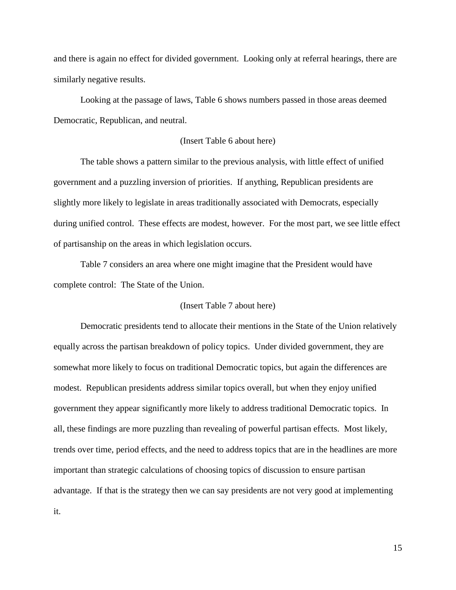and there is again no effect for divided government. Looking only at referral hearings, there are similarly negative results.

Looking at the passage of laws, Table 6 shows numbers passed in those areas deemed Democratic, Republican, and neutral.

# (Insert Table 6 about here)

The table shows a pattern similar to the previous analysis, with little effect of unified government and a puzzling inversion of priorities. If anything, Republican presidents are slightly more likely to legislate in areas traditionally associated with Democrats, especially during unified control. These effects are modest, however. For the most part, we see little effect of partisanship on the areas in which legislation occurs.

Table 7 considers an area where one might imagine that the President would have complete control: The State of the Union.

#### (Insert Table 7 about here)

Democratic presidents tend to allocate their mentions in the State of the Union relatively equally across the partisan breakdown of policy topics. Under divided government, they are somewhat more likely to focus on traditional Democratic topics, but again the differences are modest. Republican presidents address similar topics overall, but when they enjoy unified government they appear significantly more likely to address traditional Democratic topics. In all, these findings are more puzzling than revealing of powerful partisan effects. Most likely, trends over time, period effects, and the need to address topics that are in the headlines are more important than strategic calculations of choosing topics of discussion to ensure partisan advantage. If that is the strategy then we can say presidents are not very good at implementing it.

15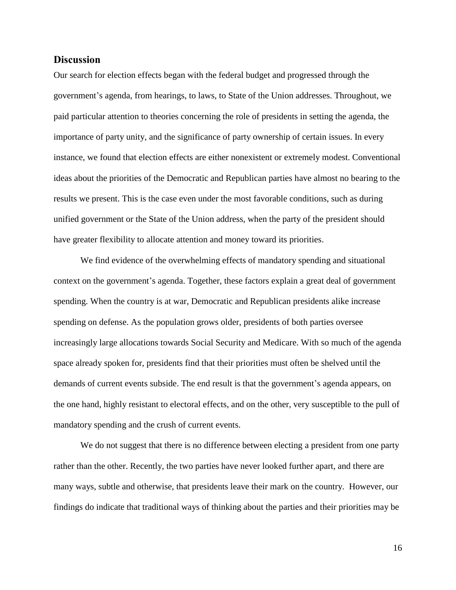# **Discussion**

Our search for election effects began with the federal budget and progressed through the government's agenda, from hearings, to laws, to State of the Union addresses. Throughout, we paid particular attention to theories concerning the role of presidents in setting the agenda, the importance of party unity, and the significance of party ownership of certain issues. In every instance, we found that election effects are either nonexistent or extremely modest. Conventional ideas about the priorities of the Democratic and Republican parties have almost no bearing to the results we present. This is the case even under the most favorable conditions, such as during unified government or the State of the Union address, when the party of the president should have greater flexibility to allocate attention and money toward its priorities.

We find evidence of the overwhelming effects of mandatory spending and situational context on the government's agenda. Together, these factors explain a great deal of government spending. When the country is at war, Democratic and Republican presidents alike increase spending on defense. As the population grows older, presidents of both parties oversee increasingly large allocations towards Social Security and Medicare. With so much of the agenda space already spoken for, presidents find that their priorities must often be shelved until the demands of current events subside. The end result is that the government's agenda appears, on the one hand, highly resistant to electoral effects, and on the other, very susceptible to the pull of mandatory spending and the crush of current events.

We do not suggest that there is no difference between electing a president from one party rather than the other. Recently, the two parties have never looked further apart, and there are many ways, subtle and otherwise, that presidents leave their mark on the country. However, our findings do indicate that traditional ways of thinking about the parties and their priorities may be

16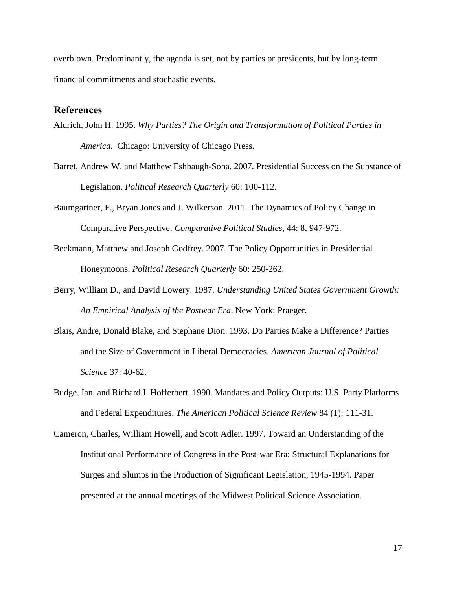overblown. Predominantly, the agenda is set, not by parties or presidents, but by long-term financial commitments and stochastic events.

# **References**

- Aldrich, John H. 1995. *Why Parties? The Origin and Transformation of Political Parties in America*. Chicago: University of Chicago Press.
- Barret, Andrew W. and Matthew Eshbaugh-Soha. 2007. Presidential Success on the Substance of Legislation. *Political Research Quarterly* 60: 100-112.
- Baumgartner, F., Bryan Jones and J. Wilkerson. 2011. The Dynamics of Policy Change in Comparative Perspective, *Comparative Political Studies*, 44: 8, 947-972.
- Beckmann, Matthew and Joseph Godfrey. 2007. The Policy Opportunities in Presidential Honeymoons. *Political Research Quarterly* 60: 250-262.
- Berry, William D., and David Lowery. 1987. *Understanding United States Government Growth: An Empirical Analysis of the Postwar Era*. New York: Praeger.
- Blais, Andre, Donald Blake, and Stephane Dion. 1993. Do Parties Make a Difference? Parties and the Size of Government in Liberal Democracies. *American Journal of Political Science* 37: 40-62.
- Budge, Ian, and Richard I. Hofferbert. 1990. Mandates and Policy Outputs: U.S. Party Platforms and Federal Expenditures. *The American Political Science Review* 84 (1): 111-31.
- Cameron, Charles, William Howell, and Scott Adler. 1997. Toward an Understanding of the Institutional Performance of Congress in the Post-war Era: Structural Explanations for Surges and Slumps in the Production of Significant Legislation, 1945-1994. Paper presented at the annual meetings of the Midwest Political Science Association.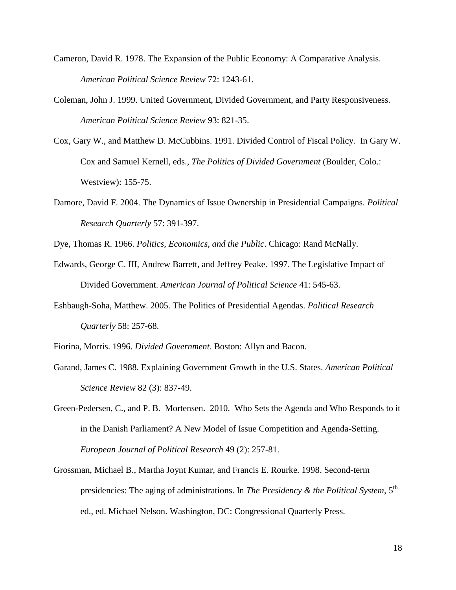- Cameron, David R. 1978. The Expansion of the Public Economy: A Comparative Analysis. *American Political Science Review* 72: 1243-61.
- Coleman, John J. 1999. United Government, Divided Government, and Party Responsiveness. *American Political Science Review* 93: 821-35.
- Cox, Gary W., and Matthew D. McCubbins. 1991. Divided Control of Fiscal Policy. In Gary W. Cox and Samuel Kernell, eds., *The Politics of Divided Government* (Boulder, Colo.: Westview): 155-75.
- Damore, David F. 2004. The Dynamics of Issue Ownership in Presidential Campaigns. *Political Research Quarterly* 57: 391-397.
- Dye, Thomas R. 1966. *Politics, Economics, and the Public*. Chicago: Rand McNally.
- Edwards, George C. III, Andrew Barrett, and Jeffrey Peake. 1997. The Legislative Impact of Divided Government. *American Journal of Political Science* 41: 545-63.
- Eshbaugh-Soha, Matthew. 2005. The Politics of Presidential Agendas. *Political Research Quarterly* 58: 257-68.
- Fiorina, Morris. 1996. *Divided Government*. Boston: Allyn and Bacon.
- Garand, James C. 1988. Explaining Government Growth in the U.S. States. *American Political Science Review* 82 (3): 837-49.
- Green-Pedersen, C., and P. B. Mortensen. 2010. Who Sets the Agenda and Who Responds to it in the Danish Parliament? A New Model of Issue Competition and Agenda-Setting. *European Journal of Political Research* 49 (2): 257-81.
- Grossman, Michael B., Martha Joynt Kumar, and Francis E. Rourke. 1998. Second-term presidencies: The aging of administrations. In *The Presidency & the Political System*, 5th ed., ed. Michael Nelson. Washington, DC: Congressional Quarterly Press.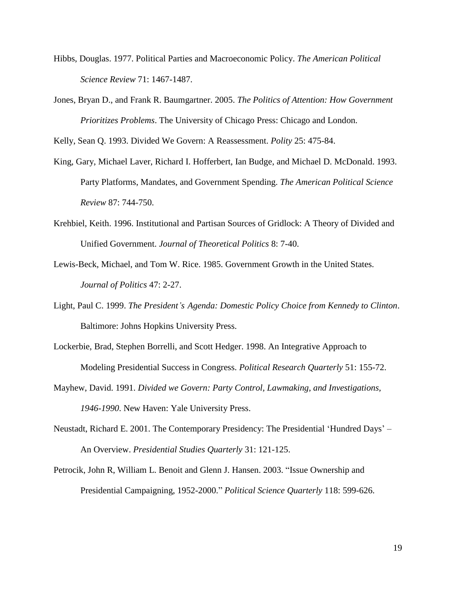- Hibbs, Douglas. 1977. Political Parties and Macroeconomic Policy. *The American Political Science Review* 71: 1467-1487.
- Jones, Bryan D., and Frank R. Baumgartner. 2005. *The Politics of Attention: How Government Prioritizes Problems*. The University of Chicago Press: Chicago and London.

Kelly, Sean Q. 1993. Divided We Govern: A Reassessment. *Polity* 25: 475-84.

- King, Gary, Michael Laver, Richard I. Hofferbert, Ian Budge, and Michael D. McDonald. 1993. Party Platforms, Mandates, and Government Spending. *The American Political Science Review* 87: 744-750.
- Krehbiel, Keith. 1996. Institutional and Partisan Sources of Gridlock: A Theory of Divided and Unified Government. *Journal of Theoretical Politics* 8: 7-40.
- Lewis-Beck, Michael, and Tom W. Rice. 1985. Government Growth in the United States. *Journal of Politics* 47: 2-27.
- Light, Paul C. 1999. *The President's Agenda: Domestic Policy Choice from Kennedy to Clinton*. Baltimore: Johns Hopkins University Press.
- Lockerbie, Brad, Stephen Borrelli, and Scott Hedger. 1998. An Integrative Approach to Modeling Presidential Success in Congress. *Political Research Quarterly* 51: 155-72.
- Mayhew, David. 1991. *Divided we Govern: Party Control, Lawmaking, and Investigations, 1946-1990*. New Haven: Yale University Press.
- Neustadt, Richard E. 2001. The Contemporary Presidency: The Presidential 'Hundred Days' An Overview. *Presidential Studies Quarterly* 31: 121-125.
- Petrocik, John R, William L. Benoit and Glenn J. Hansen. 2003. "Issue Ownership and Presidential Campaigning, 1952-2000." *Political Science Quarterly* 118: 599-626.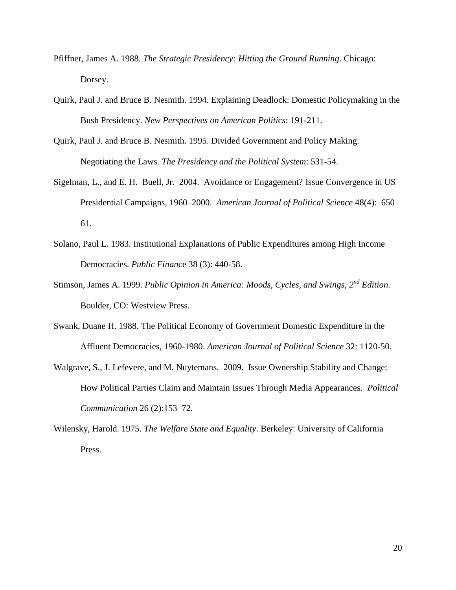- Pfiffner, James A. 1988. *The Strategic Presidency: Hitting the Ground Running*. Chicago: Dorsey.
- Quirk, Paul J. and Bruce B. Nesmith. 1994. Explaining Deadlock: Domestic Policymaking in the Bush Presidency. *New Perspectives on American Politics*: 191-211.
- Quirk, Paul J. and Bruce B. Nesmith. 1995. Divided Government and Policy Making: Negotiating the Laws. *The Presidency and the Political System*: 531-54.
- Sigelman, L., and E. H. Buell, Jr. 2004. Avoidance or Engagement? Issue Convergence in US Presidential Campaigns, 1960–2000. *American Journal of Political Science* 48(4): 650– 61.
- Solano, Paul L. 1983. Institutional Explanations of Public Expenditures among High Income Democracies. *Public Financ*e 38 (3): 440-58.
- Stimson, James A. 1999. *Public Opinion in America: Moods, Cycles, and Swings, 2nd Edition*. Boulder, CO: Westview Press.
- Swank, Duane H. 1988. The Political Economy of Government Domestic Expenditure in the Affluent Democracies, 1960-1980. *American Journal of Political Science* 32: 1120-50.
- Walgrave, S., J. Lefevere, and M. Nuytemans. 2009. Issue Ownership Stability and Change: How Political Parties Claim and Maintain Issues Through Media Appearances. *Political Communication* 26 (2):153–72.
- Wilensky, Harold. 1975. *The Welfare State and Equality*. Berkeley: University of California Press.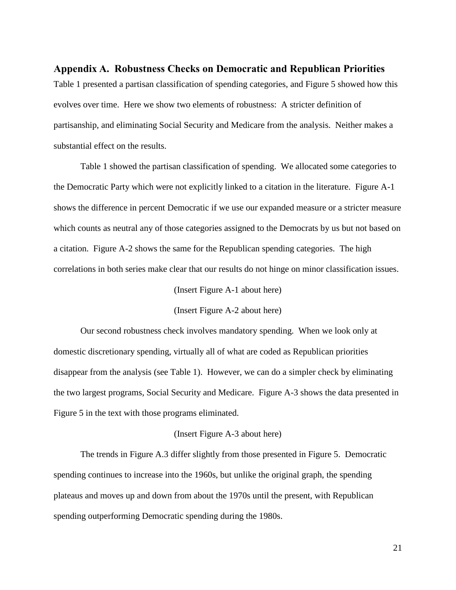**Appendix A. Robustness Checks on Democratic and Republican Priorities** Table 1 presented a partisan classification of spending categories, and Figure 5 showed how this evolves over time. Here we show two elements of robustness: A stricter definition of partisanship, and eliminating Social Security and Medicare from the analysis. Neither makes a substantial effect on the results.

Table 1 showed the partisan classification of spending. We allocated some categories to the Democratic Party which were not explicitly linked to a citation in the literature. Figure A-1 shows the difference in percent Democratic if we use our expanded measure or a stricter measure which counts as neutral any of those categories assigned to the Democrats by us but not based on a citation. Figure A-2 shows the same for the Republican spending categories. The high correlations in both series make clear that our results do not hinge on minor classification issues.

(Insert Figure A-1 about here)

(Insert Figure A-2 about here)

Our second robustness check involves mandatory spending. When we look only at domestic discretionary spending, virtually all of what are coded as Republican priorities disappear from the analysis (see Table 1). However, we can do a simpler check by eliminating the two largest programs, Social Security and Medicare. Figure A-3 shows the data presented in Figure 5 in the text with those programs eliminated.

# (Insert Figure A-3 about here)

The trends in Figure A.3 differ slightly from those presented in Figure 5. Democratic spending continues to increase into the 1960s, but unlike the original graph, the spending plateaus and moves up and down from about the 1970s until the present, with Republican spending outperforming Democratic spending during the 1980s.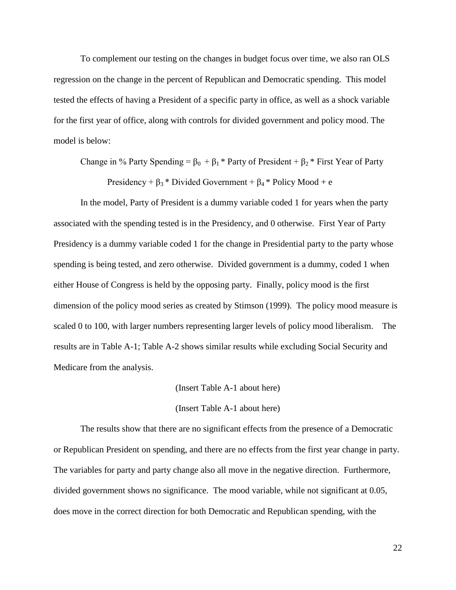To complement our testing on the changes in budget focus over time, we also ran OLS regression on the change in the percent of Republican and Democratic spending. This model tested the effects of having a President of a specific party in office, as well as a shock variable for the first year of office, along with controls for divided government and policy mood. The model is below:

Change in % Party Spending =  $\beta_0 + \beta_1 *$  Party of President +  $\beta_2 *$  First Year of Party

Presidency +  $\beta_3$  \* Divided Government +  $\beta_4$  \* Policy Mood + e

In the model, Party of President is a dummy variable coded 1 for years when the party associated with the spending tested is in the Presidency, and 0 otherwise. First Year of Party Presidency is a dummy variable coded 1 for the change in Presidential party to the party whose spending is being tested, and zero otherwise. Divided government is a dummy, coded 1 when either House of Congress is held by the opposing party. Finally, policy mood is the first dimension of the policy mood series as created by Stimson (1999). The policy mood measure is scaled 0 to 100, with larger numbers representing larger levels of policy mood liberalism. The results are in Table A-1; Table A-2 shows similar results while excluding Social Security and Medicare from the analysis.

(Insert Table A-1 about here)

(Insert Table A-1 about here)

The results show that there are no significant effects from the presence of a Democratic or Republican President on spending, and there are no effects from the first year change in party. The variables for party and party change also all move in the negative direction. Furthermore, divided government shows no significance. The mood variable, while not significant at 0.05, does move in the correct direction for both Democratic and Republican spending, with the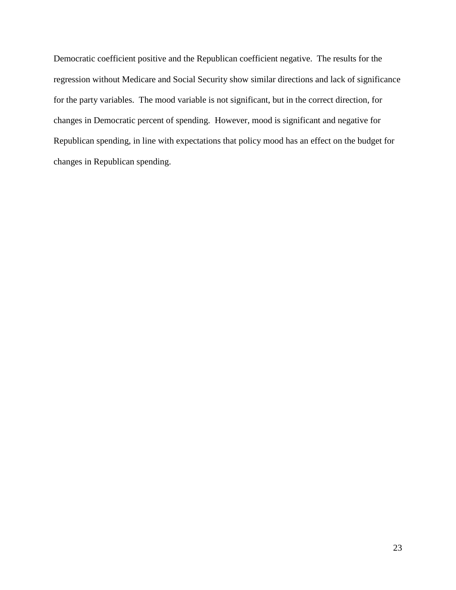Democratic coefficient positive and the Republican coefficient negative. The results for the regression without Medicare and Social Security show similar directions and lack of significance for the party variables. The mood variable is not significant, but in the correct direction, for changes in Democratic percent of spending. However, mood is significant and negative for Republican spending, in line with expectations that policy mood has an effect on the budget for changes in Republican spending.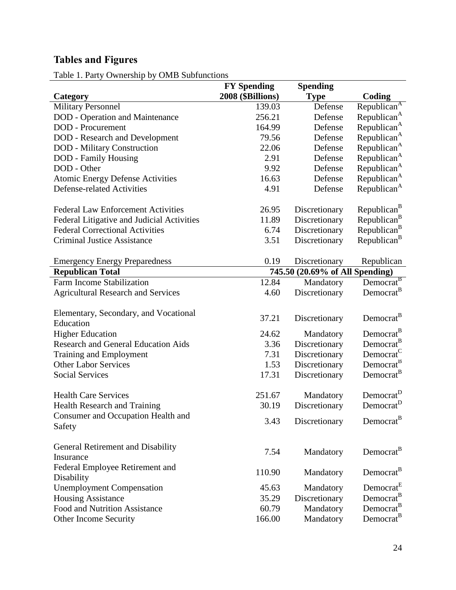# **Tables and Figures**

Table 1. Party Ownership by OMB Subfunctions

|                                                    | <b>FY Spending</b> | <b>Spending</b>                 |                         |
|----------------------------------------------------|--------------------|---------------------------------|-------------------------|
| Category                                           | 2008 (\$Billions)  | <b>Type</b>                     | Coding                  |
| <b>Military Personnel</b>                          | 139.03             | Defense                         | Republican <sup>A</sup> |
| <b>DOD</b> - Operation and Maintenance             | 256.21             | Defense                         | Republican <sup>A</sup> |
| <b>DOD</b> - Procurement                           | 164.99             | Defense                         | Republican <sup>A</sup> |
| <b>DOD</b> - Research and Development              | 79.56              | Defense                         | Republican <sup>A</sup> |
| <b>DOD</b> - Military Construction                 | 22.06              | Defense                         | Republican <sup>A</sup> |
| DOD - Family Housing                               | 2.91               | Defense                         | Republican <sup>A</sup> |
| DOD - Other                                        | 9.92               | Defense                         | Republican <sup>A</sup> |
| <b>Atomic Energy Defense Activities</b>            | 16.63              | Defense                         | Republican <sup>A</sup> |
| <b>Defense-related Activities</b>                  | 4.91               | Defense                         | Republican <sup>A</sup> |
| <b>Federal Law Enforcement Activities</b>          | 26.95              | Discretionary                   | Republican <sup>B</sup> |
| Federal Litigative and Judicial Activities         | 11.89              | Discretionary                   | Republican <sup>B</sup> |
| <b>Federal Correctional Activities</b>             | 6.74               | Discretionary                   | Republican <sup>B</sup> |
| <b>Criminal Justice Assistance</b>                 | 3.51               | Discretionary                   | Republican <sup>B</sup> |
| <b>Emergency Energy Preparedness</b>               | 0.19               | Discretionary                   | Republican              |
| <b>Republican Total</b>                            |                    | 745.50 (20.69% of All Spending) |                         |
| Farm Income Stabilization                          | 12.84              | Mandatory                       | Democrat <sup>B</sup>   |
| <b>Agricultural Research and Services</b>          | 4.60               | Discretionary                   | Democrat <sup>B</sup>   |
| Elementary, Secondary, and Vocational<br>Education | 37.21              | Discretionary                   | Democrat <sup>B</sup>   |
| <b>Higher Education</b>                            | 24.62              | Mandatory                       | Democrat <sup>B</sup>   |
| <b>Research and General Education Aids</b>         | 3.36               | Discretionary                   | Democrat <sup>B</sup>   |
| Training and Employment                            | 7.31               | Discretionary                   | Democrat <sup>C</sup>   |
| <b>Other Labor Services</b>                        | 1.53               | Discretionary                   | Democrat <sup>B</sup>   |
| <b>Social Services</b>                             | 17.31              | Discretionary                   | Democrat <sup>B</sup>   |
| <b>Health Care Services</b>                        | 251.67             | Mandatory                       | Democrat <sup>D</sup>   |
| Health Research and Training                       | 30.19              | Discretionary                   | Democrat <sup>D</sup>   |
| Consumer and Occupation Health and<br>Safety       | 3.43               | Discretionary                   | Democrat <sup>B</sup>   |
| General Retirement and Disability<br>Insurance     | 7.54               | Mandatory                       | Democrat <sup>B</sup>   |
| Federal Employee Retirement and<br>Disability      | 110.90             | Mandatory                       | Democrat <sup>B</sup>   |
| <b>Unemployment Compensation</b>                   | 45.63              | Mandatory                       | Democrat <sup>E</sup>   |
| <b>Housing Assistance</b>                          | 35.29              | Discretionary                   | Democrat <sup>B</sup>   |
| Food and Nutrition Assistance                      | 60.79              | Mandatory                       | Democrat <sup>B</sup>   |
| Other Income Security                              | 166.00             | Mandatory                       | Democrat <sup>B</sup>   |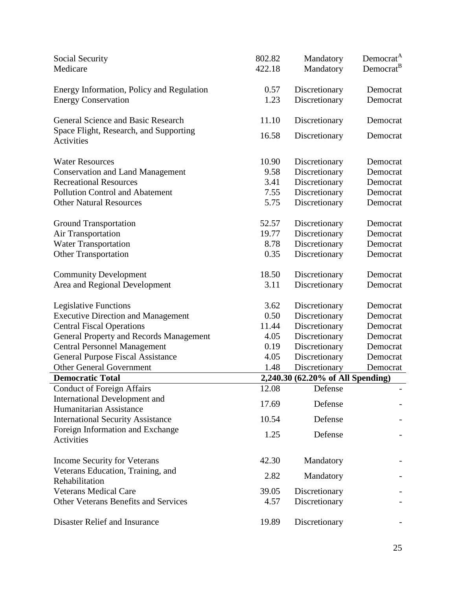| Social Security<br>Medicare                 | 802.82<br>422.18 | Mandatory<br>Mandatory            | Democrat <sup>A</sup><br>Democrat <sup>B</sup> |
|---------------------------------------------|------------------|-----------------------------------|------------------------------------------------|
| Energy Information, Policy and Regulation   | 0.57             | Discretionary                     | Democrat                                       |
| <b>Energy Conservation</b>                  | 1.23             | Discretionary                     | Democrat                                       |
|                                             |                  |                                   |                                                |
| General Science and Basic Research          | 11.10            | Discretionary                     | Democrat                                       |
| Space Flight, Research, and Supporting      |                  |                                   |                                                |
| <b>Activities</b>                           | 16.58            | Discretionary                     | Democrat                                       |
|                                             |                  |                                   |                                                |
| <b>Water Resources</b>                      | 10.90            | Discretionary                     | Democrat                                       |
| <b>Conservation and Land Management</b>     | 9.58             | Discretionary                     | Democrat                                       |
| <b>Recreational Resources</b>               | 3.41             | Discretionary                     | Democrat                                       |
| <b>Pollution Control and Abatement</b>      | 7.55             | Discretionary                     | Democrat                                       |
| <b>Other Natural Resources</b>              | 5.75             | Discretionary                     | Democrat                                       |
|                                             |                  |                                   |                                                |
| <b>Ground Transportation</b>                | 52.57            | Discretionary                     | Democrat                                       |
| <b>Air Transportation</b>                   | 19.77            | Discretionary                     | Democrat                                       |
| <b>Water Transportation</b>                 | 8.78             | Discretionary                     | Democrat                                       |
| <b>Other Transportation</b>                 | 0.35             | Discretionary                     | Democrat                                       |
|                                             |                  |                                   |                                                |
| <b>Community Development</b>                | 18.50            | Discretionary                     | Democrat                                       |
| Area and Regional Development               | 3.11             | Discretionary                     | Democrat                                       |
| Legislative Functions                       | 3.62             | Discretionary                     | Democrat                                       |
| <b>Executive Direction and Management</b>   | 0.50             | Discretionary                     | Democrat                                       |
| <b>Central Fiscal Operations</b>            | 11.44            | Discretionary                     | Democrat                                       |
| General Property and Records Management     | 4.05             | Discretionary                     | Democrat                                       |
| <b>Central Personnel Management</b>         | 0.19             | Discretionary                     | Democrat                                       |
| <b>General Purpose Fiscal Assistance</b>    | 4.05             | Discretionary                     | Democrat                                       |
| <b>Other General Government</b>             | 1.48             | Discretionary                     | Democrat                                       |
| <b>Democratic Total</b>                     |                  | 2,240.30 (62.20% of All Spending) |                                                |
| <b>Conduct of Foreign Affairs</b>           | 12.08            | Defense                           |                                                |
| International Development and               |                  |                                   |                                                |
| Humanitarian Assistance                     | 17.69            | Defense                           |                                                |
| <b>International Security Assistance</b>    | 10.54            | Defense                           |                                                |
| Foreign Information and Exchange            | 1.25             | Defense                           |                                                |
| Activities                                  |                  |                                   |                                                |
|                                             |                  |                                   |                                                |
| Income Security for Veterans                | 42.30            | Mandatory                         |                                                |
| Veterans Education, Training, and           | 2.82             | Mandatory                         |                                                |
| Rehabilitation                              |                  |                                   |                                                |
| <b>Veterans Medical Care</b>                | 39.05            | Discretionary                     |                                                |
| <b>Other Veterans Benefits and Services</b> | 4.57             | Discretionary                     |                                                |
|                                             |                  |                                   |                                                |
| Disaster Relief and Insurance               | 19.89            | Discretionary                     |                                                |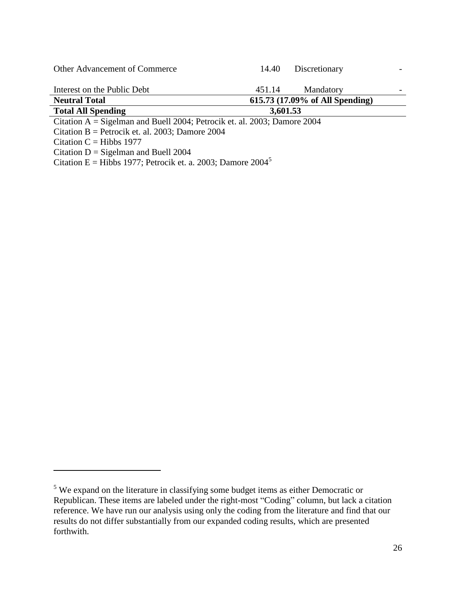| Other Advancement of Commerce                                               | 14.40    | Discretionary                   |  |
|-----------------------------------------------------------------------------|----------|---------------------------------|--|
| Interest on the Public Debt                                                 | 451.14   | Mandatory                       |  |
| <b>Neutral Total</b>                                                        |          | 615.73 (17.09% of All Spending) |  |
| <b>Total All Spending</b>                                                   | 3,601.53 |                                 |  |
| Citation $A = S$ igelman and Buell 2004; Petrocik et. al. 2003; Damore 2004 |          |                                 |  |
| Citation B = Petrocik et. al. 2003; Damore 2004                             |          |                                 |  |
| Citation $C = Hibbs$ 1977                                                   |          |                                 |  |
| Citation $D = S$ igelman and Buell 2004                                     |          |                                 |  |

Citation E = Hibbs 1977; Petrocik et. a. 2003; Damore  $2004^5$ 

 $\overline{a}$ 

<sup>5</sup> We expand on the literature in classifying some budget items as either Democratic or Republican. These items are labeled under the right-most "Coding" column, but lack a citation reference. We have run our analysis using only the coding from the literature and find that our results do not differ substantially from our expanded coding results, which are presented forthwith.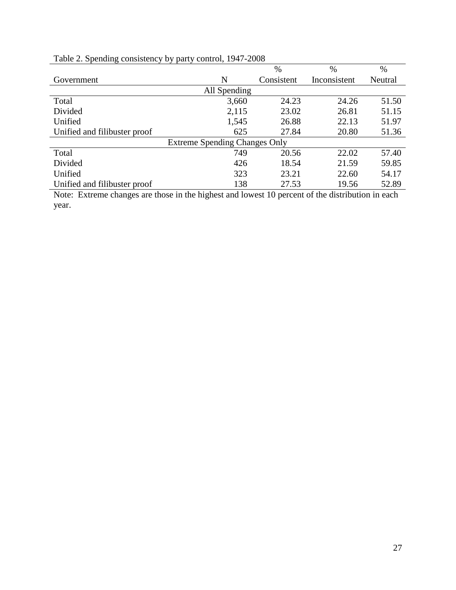| - 7                          |                                      | $\%$       | $\%$         | $\%$    |
|------------------------------|--------------------------------------|------------|--------------|---------|
| Government                   | N                                    | Consistent | Inconsistent | Neutral |
|                              | All Spending                         |            |              |         |
| Total                        | 3,660                                | 24.23      | 24.26        | 51.50   |
| Divided                      | 2,115                                | 23.02      | 26.81        | 51.15   |
| Unified                      | 1,545                                | 26.88      | 22.13        | 51.97   |
| Unified and filibuster proof | 625                                  | 27.84      | 20.80        | 51.36   |
|                              | <b>Extreme Spending Changes Only</b> |            |              |         |
| Total                        | 749                                  | 20.56      | 22.02        | 57.40   |
| Divided                      | 426                                  | 18.54      | 21.59        | 59.85   |
| Unified                      | 323                                  | 23.21      | 22.60        | 54.17   |
| Unified and filibuster proof | 138                                  | 27.53      | 19.56        | 52.89   |

# Table 2. Spending consistency by party control, 1947-2008

Note: Extreme changes are those in the highest and lowest 10 percent of the distribution in each year.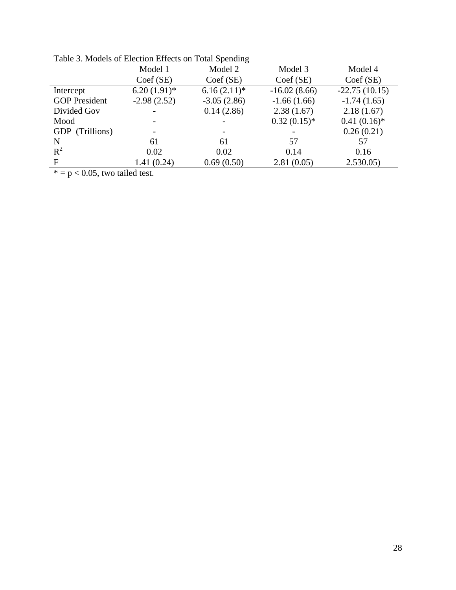|                      | Twore 5. <i>models</i> of Encember Effects on Total Spending |               |                |                 |  |  |
|----------------------|--------------------------------------------------------------|---------------|----------------|-----------------|--|--|
|                      | Model 1                                                      | Model 2       | Model 3        | Model 4         |  |  |
|                      | $Coef$ (SE)                                                  | $Coef$ (SE)   | $Coef$ (SE)    | $Coef$ (SE)     |  |  |
| Intercept            | $6.20(1.91)$ *                                               | $6.16(2.11)*$ | $-16.02(8.66)$ | $-22.75(10.15)$ |  |  |
| <b>GOP</b> President | $-2.98(2.52)$                                                | $-3.05(2.86)$ | $-1.66(1.66)$  | $-1.74(1.65)$   |  |  |
| Divided Gov          |                                                              | 0.14(2.86)    | 2.38(1.67)     | 2.18(1.67)      |  |  |
| Mood                 |                                                              |               | $0.32(0.15)*$  | $0.41(0.16)*$   |  |  |
| GDP (Trillions)      |                                                              |               |                | 0.26(0.21)      |  |  |
| N                    | 61                                                           | 61            | 57             | 57              |  |  |
| $R^2$                | 0.02                                                         | 0.02          | 0.14           | 0.16            |  |  |
| F                    | 1.41(0.24)                                                   | 0.69(0.50)    | 2.81(0.05)     | 2.530.05        |  |  |
|                      |                                                              |               |                |                 |  |  |

Table 3. Models of Election Effects on Total Spending

 $* = p < 0.05$ , two tailed test.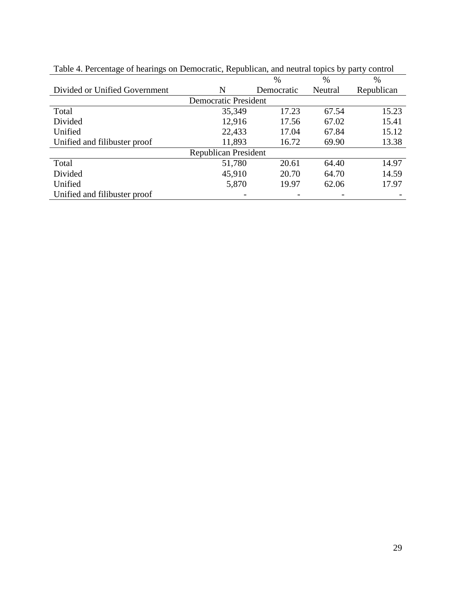|                               |                             | $\%$       | %       | $\%$       |
|-------------------------------|-----------------------------|------------|---------|------------|
| Divided or Unified Government | N                           | Democratic | Neutral | Republican |
|                               | <b>Democratic President</b> |            |         |            |
| Total                         | 35,349                      | 17.23      | 67.54   | 15.23      |
| Divided                       | 12,916                      | 17.56      | 67.02   | 15.41      |
| Unified                       | 22,433                      | 17.04      | 67.84   | 15.12      |
| Unified and filibuster proof  | 11,893                      | 16.72      | 69.90   | 13.38      |
|                               | <b>Republican President</b> |            |         |            |
| Total                         | 51,780                      | 20.61      | 64.40   | 14.97      |
| Divided                       | 45,910                      | 20.70      | 64.70   | 14.59      |
| Unified                       | 5,870                       | 19.97      | 62.06   | 17.97      |
| Unified and filibuster proof  |                             |            |         |            |

Table 4. Percentage of hearings on Democratic, Republican, and neutral topics by party control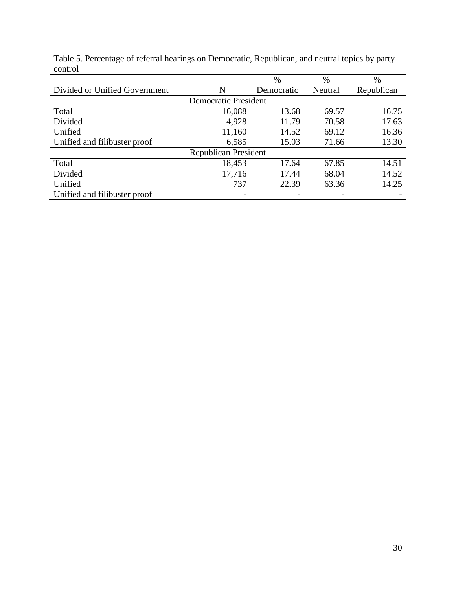|                               |                             | $\%$       | $\%$    | $\%$       |
|-------------------------------|-----------------------------|------------|---------|------------|
| Divided or Unified Government | N                           | Democratic | Neutral | Republican |
|                               | <b>Democratic President</b> |            |         |            |
| Total                         | 16,088                      | 13.68      | 69.57   | 16.75      |
| Divided                       | 4,928                       | 11.79      | 70.58   | 17.63      |
| Unified                       | 11,160                      | 14.52      | 69.12   | 16.36      |
| Unified and filibuster proof  | 6,585                       | 15.03      | 71.66   | 13.30      |
|                               | <b>Republican President</b> |            |         |            |
| Total                         | 18,453                      | 17.64      | 67.85   | 14.51      |
| Divided                       | 17,716                      | 17.44      | 68.04   | 14.52      |
| Unified                       | 737                         | 22.39      | 63.36   | 14.25      |
| Unified and filibuster proof  |                             |            |         |            |

Table 5. Percentage of referral hearings on Democratic, Republican, and neutral topics by party control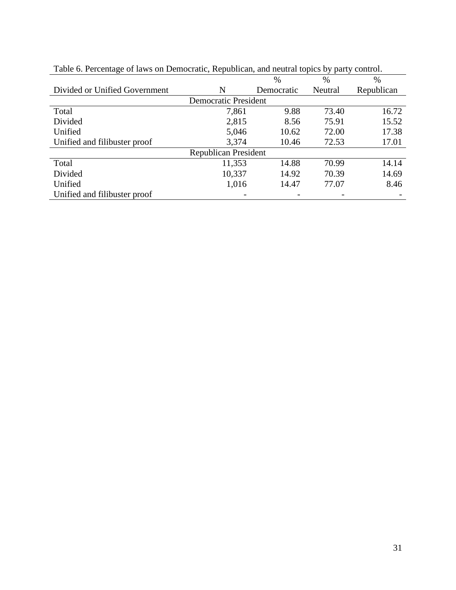|                               |                             | $\%$       | $\%$    | $\%$       |
|-------------------------------|-----------------------------|------------|---------|------------|
| Divided or Unified Government | N                           | Democratic | Neutral | Republican |
|                               | <b>Democratic President</b> |            |         |            |
| Total                         | 7,861                       | 9.88       | 73.40   | 16.72      |
| Divided                       | 2,815                       | 8.56       | 75.91   | 15.52      |
| Unified                       | 5,046                       | 10.62      | 72.00   | 17.38      |
| Unified and filibuster proof  | 3,374                       | 10.46      | 72.53   | 17.01      |
|                               | <b>Republican President</b> |            |         |            |
| Total                         | 11,353                      | 14.88      | 70.99   | 14.14      |
| Divided                       | 10,337                      | 14.92      | 70.39   | 14.69      |
| Unified                       | 1,016                       | 14.47      | 77.07   | 8.46       |
| Unified and filibuster proof  |                             |            |         |            |

Table 6. Percentage of laws on Democratic, Republican, and neutral topics by party control.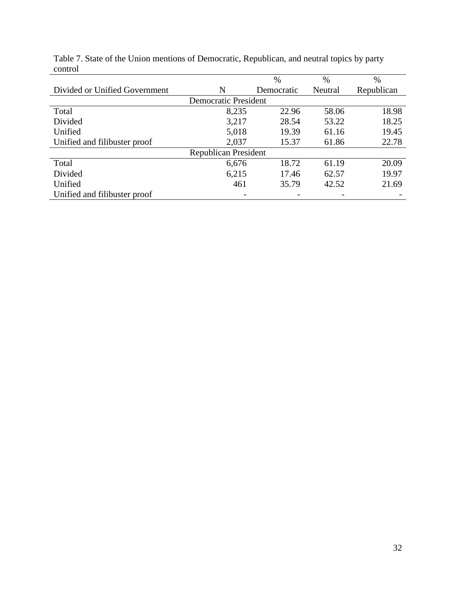|                               |                             | $\%$       | $\%$    | $\%$       |
|-------------------------------|-----------------------------|------------|---------|------------|
| Divided or Unified Government | N                           | Democratic | Neutral | Republican |
|                               | <b>Democratic President</b> |            |         |            |
| Total                         | 8,235                       | 22.96      | 58.06   | 18.98      |
| Divided                       | 3,217                       | 28.54      | 53.22   | 18.25      |
| Unified                       | 5,018                       | 19.39      | 61.16   | 19.45      |
| Unified and filibuster proof  | 2,037                       | 15.37      | 61.86   | 22.78      |
|                               | <b>Republican President</b> |            |         |            |
| Total                         | 6,676                       | 18.72      | 61.19   | 20.09      |
| Divided                       | 6,215                       | 17.46      | 62.57   | 19.97      |
| Unified                       | 461                         | 35.79      | 42.52   | 21.69      |
| Unified and filibuster proof  |                             |            |         |            |

Table 7. State of the Union mentions of Democratic, Republican, and neutral topics by party control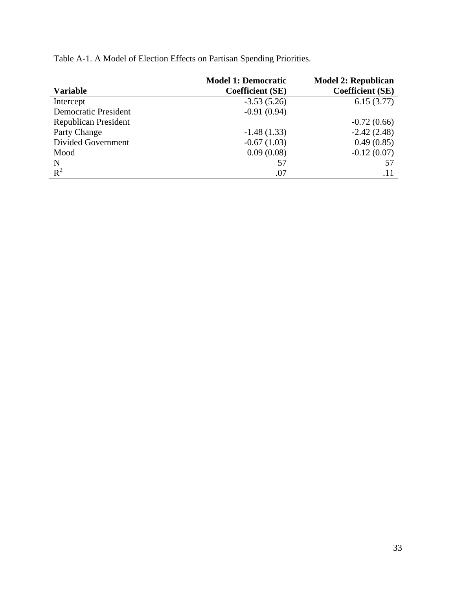| <b>Variable</b>             | <b>Model 1: Democratic</b><br><b>Coefficient (SE)</b> | <b>Model 2: Republican</b><br><b>Coefficient (SE)</b> |
|-----------------------------|-------------------------------------------------------|-------------------------------------------------------|
| Intercept                   | $-3.53(5.26)$                                         | 6.15(3.77)                                            |
| <b>Democratic President</b> | $-0.91(0.94)$                                         |                                                       |
| <b>Republican President</b> |                                                       | $-0.72(0.66)$                                         |
| Party Change                | $-1.48(1.33)$                                         | $-2.42(2.48)$                                         |
| Divided Government          | $-0.67(1.03)$                                         | 0.49(0.85)                                            |
| Mood                        | 0.09(0.08)                                            | $-0.12(0.07)$                                         |
| N                           | 57                                                    | 57                                                    |
| $R^2$                       | .07                                                   | .11                                                   |

Table A-1. A Model of Election Effects on Partisan Spending Priorities.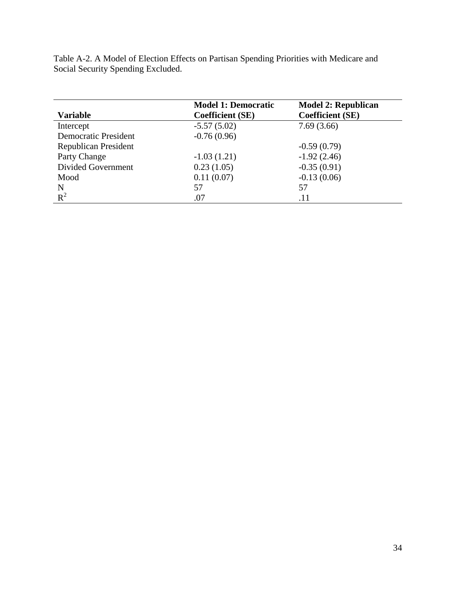| <b>Variable</b>             | <b>Model 1: Democratic</b><br><b>Coefficient (SE)</b> | <b>Model 2: Republican</b><br><b>Coefficient (SE)</b> |
|-----------------------------|-------------------------------------------------------|-------------------------------------------------------|
| Intercept                   | $-5.57(5.02)$                                         | 7.69(3.66)                                            |
| <b>Democratic President</b> | $-0.76(0.96)$                                         |                                                       |
| <b>Republican President</b> |                                                       | $-0.59(0.79)$                                         |
| Party Change                | $-1.03(1.21)$                                         | $-1.92(2.46)$                                         |
| Divided Government          | 0.23(1.05)                                            | $-0.35(0.91)$                                         |
| Mood                        | 0.11(0.07)                                            | $-0.13(0.06)$                                         |
| N                           | 57                                                    | 57                                                    |
| $R^2$                       | .07                                                   | .11                                                   |

Table A-2. A Model of Election Effects on Partisan Spending Priorities with Medicare and Social Security Spending Excluded.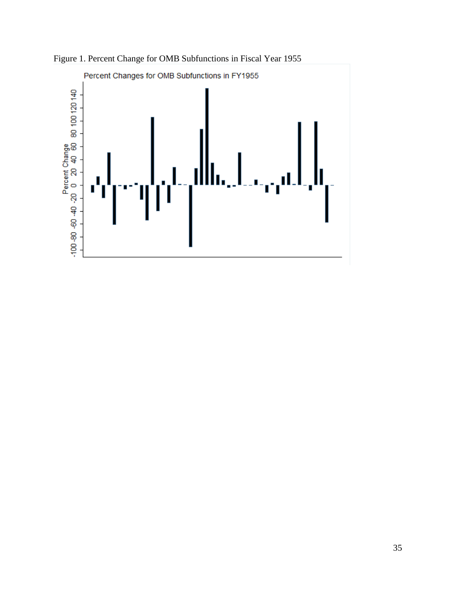

Figure 1. Percent Change for OMB Subfunctions in Fiscal Year 1955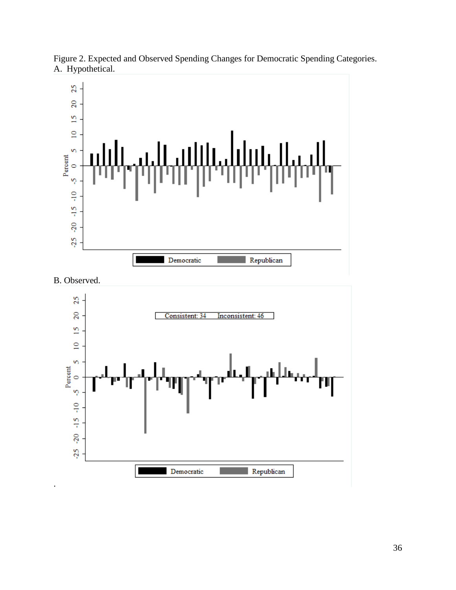

Figure 2. Expected and Observed Spending Changes for Democratic Spending Categories. A. Hypothetical.



.

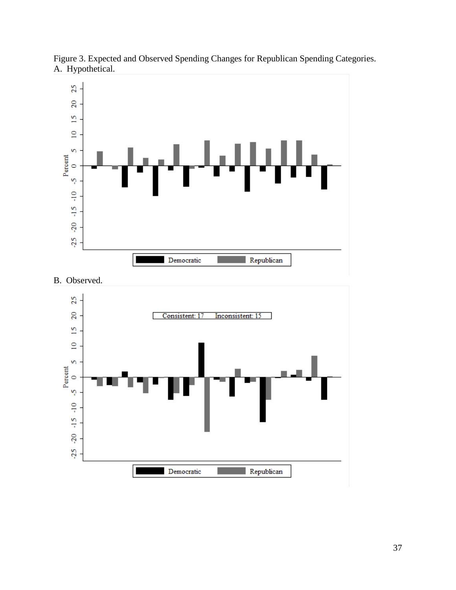

Figure 3. Expected and Observed Spending Changes for Republican Spending Categories. A. Hypothetical.

B. Observed.

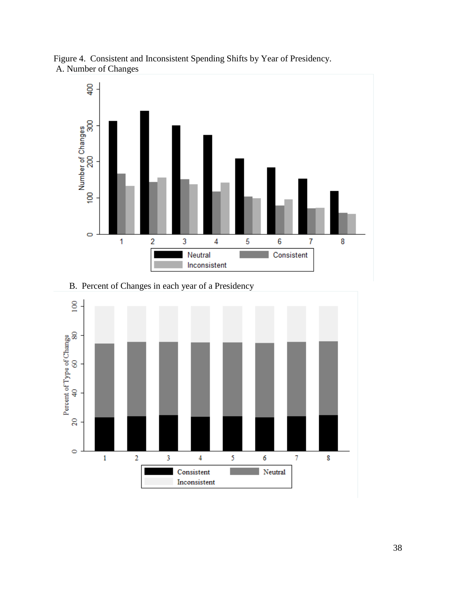

Figure 4. Consistent and Inconsistent Spending Shifts by Year of Presidency. A. Number of Changes

B. Percent of Changes in each year of a Presidency

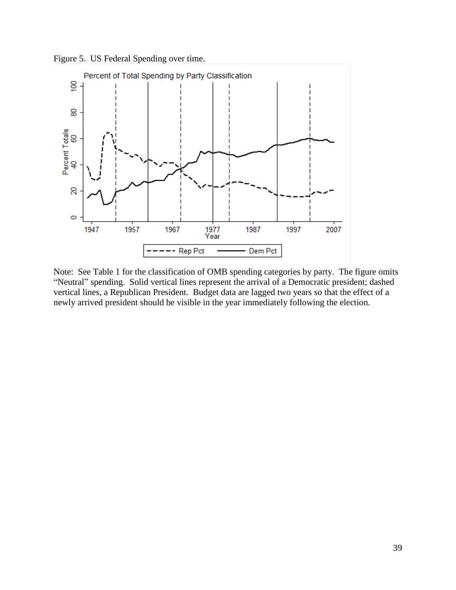Figure 5. US Federal Spending over time.



Note: See Table 1 for the classification of OMB spending categories by party. The figure omits "Neutral" spending. Solid vertical lines represent the arrival of a Democratic president; dashed vertical lines, a Republican President. Budget data are lagged two years so that the effect of a newly arrived president should be visible in the year immediately following the election.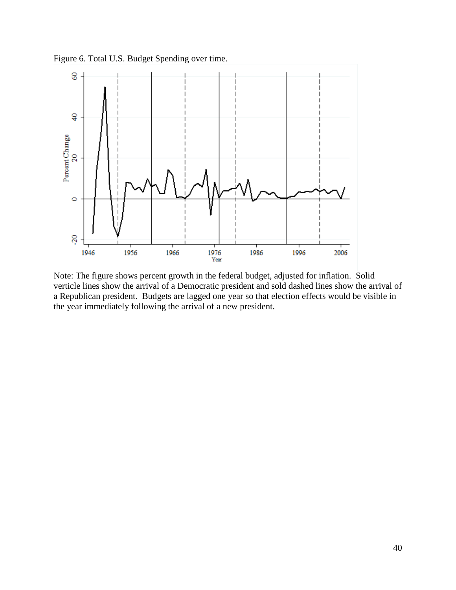Figure 6. Total U.S. Budget Spending over time.



Note: The figure shows percent growth in the federal budget, adjusted for inflation. Solid verticle lines show the arrival of a Democratic president and sold dashed lines show the arrival of a Republican president. Budgets are lagged one year so that election effects would be visible in the year immediately following the arrival of a new president.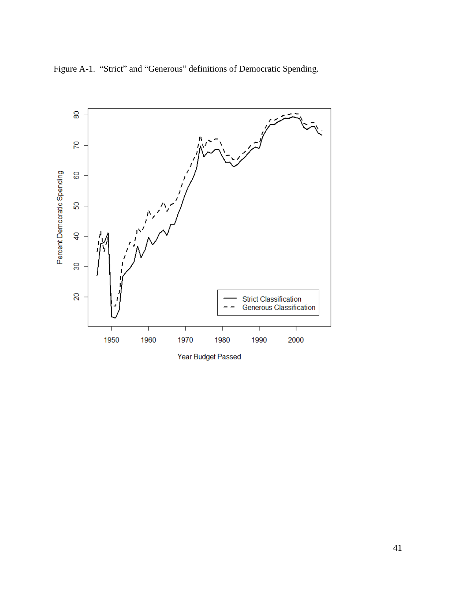

Figure A-1. "Strict" and "Generous" definitions of Democratic Spending.

Year Budget Passed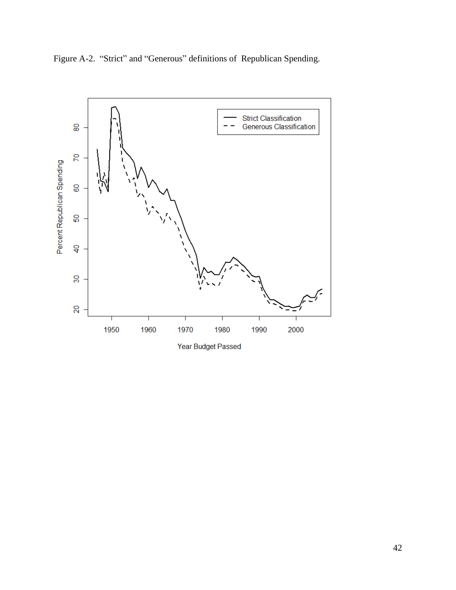